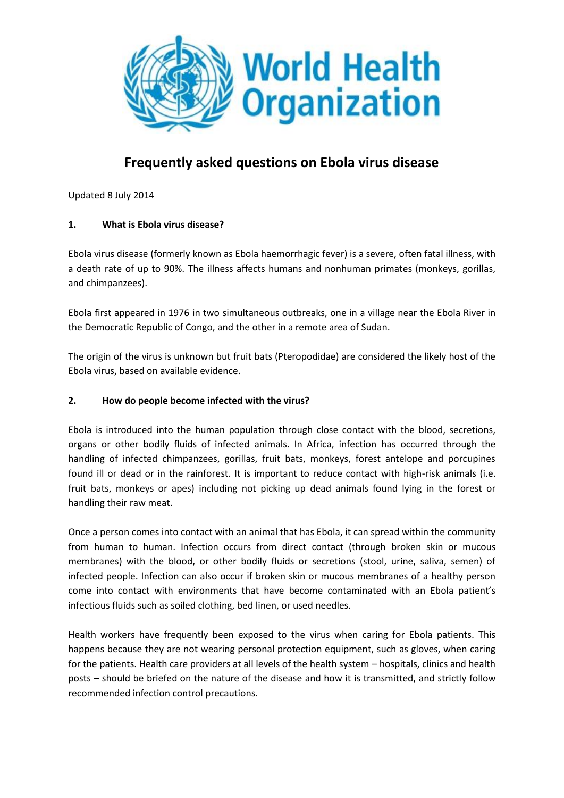

# **Frequently asked questions on Ebola virus disease**

Updated 8 July 2014

# **1. What is Ebola virus disease?**

Ebola virus disease (formerly known as Ebola haemorrhagic fever) is a severe, often fatal illness, with a death rate of up to 90%. The illness affects humans and nonhuman primates (monkeys, gorillas, and chimpanzees).

Ebola first appeared in 1976 in two simultaneous outbreaks, one in a village near the Ebola River in the Democratic Republic of Congo, and the other in a remote area of Sudan.

The origin of the virus is unknown but fruit bats (Pteropodidae) are considered the likely host of the Ebola virus, based on available evidence.

#### **2. How do people become infected with the virus?**

Ebola is introduced into the human population through close contact with the blood, secretions, organs or other bodily fluids of infected animals. In Africa, infection has occurred through the handling of infected chimpanzees, gorillas, fruit bats, monkeys, forest antelope and porcupines found ill or dead or in the rainforest. It is important to reduce contact with high-risk animals (i.e. fruit bats, monkeys or apes) including not picking up dead animals found lying in the forest or handling their raw meat.

Once a person comes into contact with an animal that has Ebola, it can spread within the community from human to human. Infection occurs from direct contact (through broken skin or mucous membranes) with the blood, or other bodily fluids or secretions (stool, urine, saliva, semen) of infected people. Infection can also occur if broken skin or mucous membranes of a healthy person come into contact with environments that have become contaminated with an Ebola patient's infectious fluids such as soiled clothing, bed linen, or used needles.

Health workers have frequently been exposed to the virus when caring for Ebola patients. This happens because they are not wearing personal protection equipment, such as gloves, when caring for the patients. Health care providers at all levels of the health system – hospitals, clinics and health posts – should be briefed on the nature of the disease and how it is transmitted, and strictly follow recommended infection control precautions.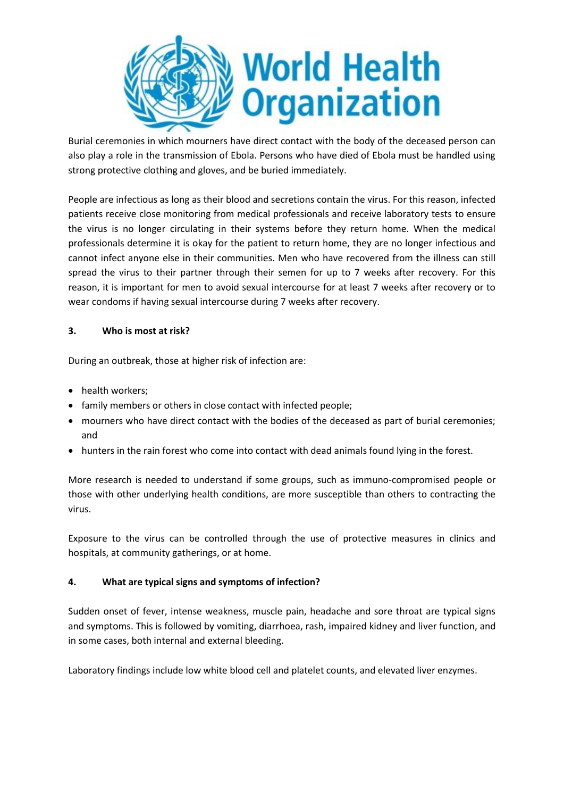

Burial ceremonies in which mourners have direct contact with the body of the deceased person can also play a role in the transmission of Ebola. Persons who have died of Ebola must be handled using strong protective clothing and gloves, and be buried immediately.

People are infectious as long as their blood and secretions contain the virus. For this reason, infected patients receive close monitoring from medical professionals and receive laboratory tests to ensure the virus is no longer circulating in their systems before they return home. When the medical professionals determine it is okay for the patient to return home, they are no longer infectious and cannot infect anyone else in their communities. Men who have recovered from the illness can still spread the virus to their partner through their semen for up to 7 weeks after recovery. For this reason, it is important for men to avoid sexual intercourse for at least 7 weeks after recovery or to wear condoms if having sexual intercourse during 7 weeks after recovery.

# **3. Who is most at risk?**

During an outbreak, those at higher risk of infection are:

- health workers;
- family members or others in close contact with infected people;
- mourners who have direct contact with the bodies of the deceased as part of burial ceremonies; and
- hunters in the rain forest who come into contact with dead animals found lying in the forest.

More research is needed to understand if some groups, such as immuno-compromised people or those with other underlying health conditions, are more susceptible than others to contracting the virus.

Exposure to the virus can be controlled through the use of protective measures in clinics and hospitals, at community gatherings, or at home.

#### **4. What are typical signs and symptoms of infection?**

Sudden onset of fever, intense weakness, muscle pain, headache and sore throat are typical signs and symptoms. This is followed by vomiting, diarrhoea, rash, impaired kidney and liver function, and in some cases, both internal and external bleeding.

Laboratory findings include low white blood cell and platelet counts, and elevated liver enzymes.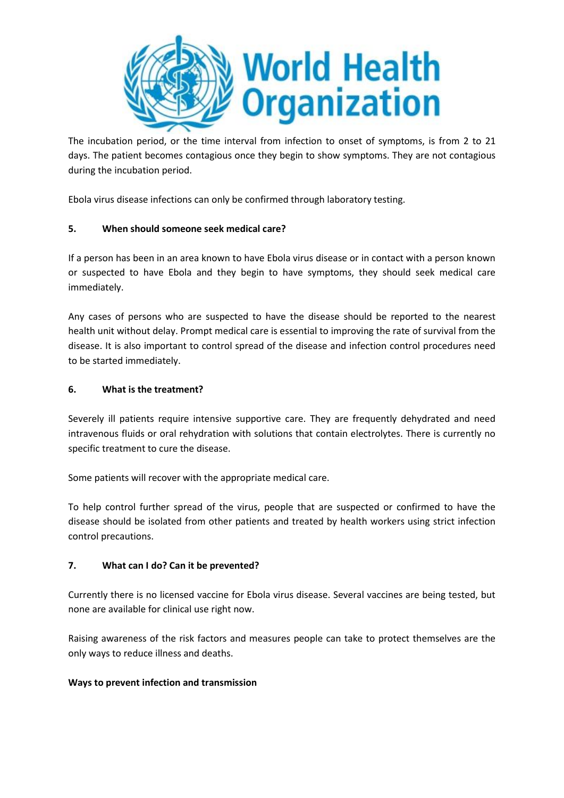

The incubation period, or the time interval from infection to onset of symptoms, is from 2 to 21 days. The patient becomes contagious once they begin to show symptoms. They are not contagious during the incubation period.

Ebola virus disease infections can only be confirmed through laboratory testing.

# **5. When should someone seek medical care?**

If a person has been in an area known to have Ebola virus disease or in contact with a person known or suspected to have Ebola and they begin to have symptoms, they should seek medical care immediately.

Any cases of persons who are suspected to have the disease should be reported to the nearest health unit without delay. Prompt medical care is essential to improving the rate of survival from the disease. It is also important to control spread of the disease and infection control procedures need to be started immediately.

#### **6. What is the treatment?**

Severely ill patients require intensive supportive care. They are frequently dehydrated and need intravenous fluids or oral rehydration with solutions that contain electrolytes. There is currently no specific treatment to cure the disease.

Some patients will recover with the appropriate medical care.

To help control further spread of the virus, people that are suspected or confirmed to have the disease should be isolated from other patients and treated by health workers using strict infection control precautions.

#### **7. What can I do? Can it be prevented?**

Currently there is no licensed vaccine for Ebola virus disease. Several vaccines are being tested, but none are available for clinical use right now.

Raising awareness of the risk factors and measures people can take to protect themselves are the only ways to reduce illness and deaths.

#### **Ways to prevent infection and transmission**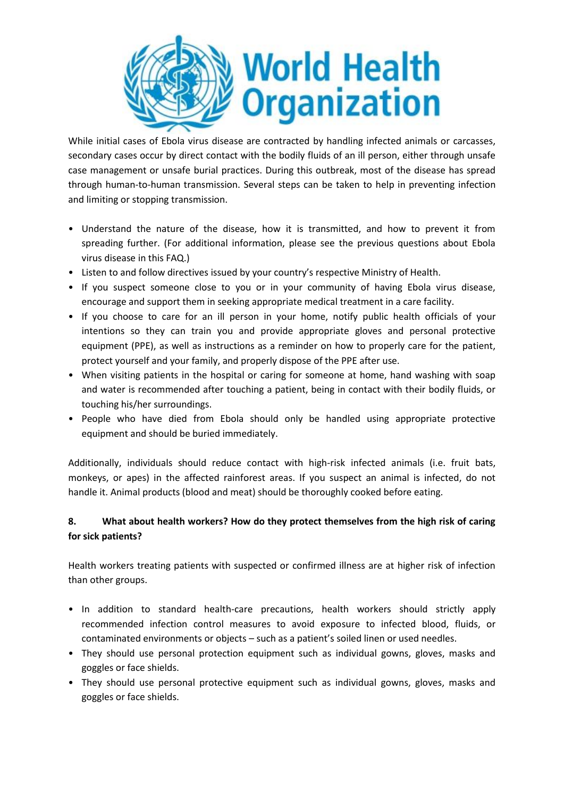

While initial cases of Ebola virus disease are contracted by handling infected animals or carcasses, secondary cases occur by direct contact with the bodily fluids of an ill person, either through unsafe case management or unsafe burial practices. During this outbreak, most of the disease has spread through human-to-human transmission. Several steps can be taken to help in preventing infection and limiting or stopping transmission.

- Understand the nature of the disease, how it is transmitted, and how to prevent it from spreading further. (For additional information, please see the previous questions about Ebola virus disease in this FAQ.)
- Listen to and follow directives issued by your country's respective Ministry of Health.
- If you suspect someone close to you or in your community of having Ebola virus disease, encourage and support them in seeking appropriate medical treatment in a care facility.
- If you choose to care for an ill person in your home, notify public health officials of your intentions so they can train you and provide appropriate gloves and personal protective equipment (PPE), as well as instructions as a reminder on how to properly care for the patient, protect yourself and your family, and properly dispose of the PPE after use.
- When visiting patients in the hospital or caring for someone at home, hand washing with soap and water is recommended after touching a patient, being in contact with their bodily fluids, or touching his/her surroundings.
- People who have died from Ebola should only be handled using appropriate protective equipment and should be buried immediately.

Additionally, individuals should reduce contact with high-risk infected animals (i.e. fruit bats, monkeys, or apes) in the affected rainforest areas. If you suspect an animal is infected, do not handle it. Animal products (blood and meat) should be thoroughly cooked before eating.

# **8. What about health workers? How do they protect themselves from the high risk of caring for sick patients?**

Health workers treating patients with suspected or confirmed illness are at higher risk of infection than other groups.

- In addition to standard health-care precautions, health workers should strictly apply recommended infection control measures to avoid exposure to infected blood, fluids, or contaminated environments or objects – such as a patient's soiled linen or used needles.
- They should use personal protection equipment such as individual gowns, gloves, masks and goggles or face shields.
- They should use personal protective equipment such as individual gowns, gloves, masks and goggles or face shields.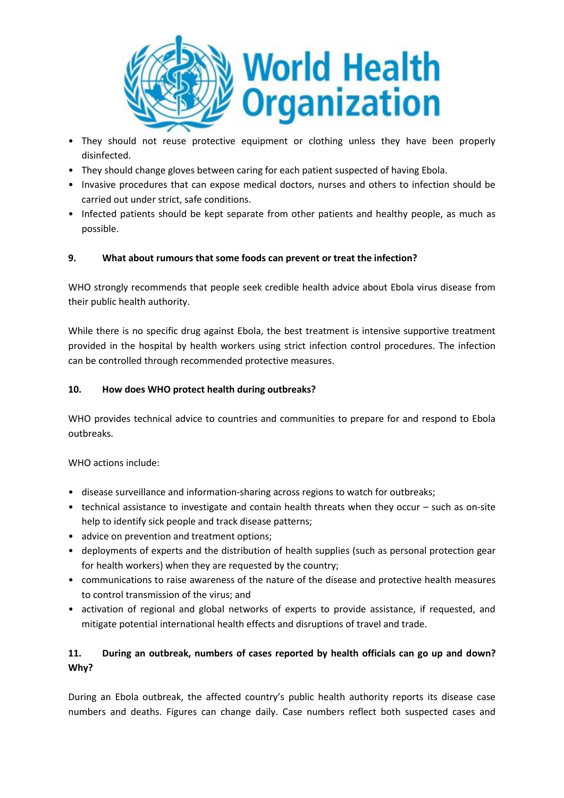

- They should not reuse protective equipment or clothing unless they have been properly disinfected.
- They should change gloves between caring for each patient suspected of having Ebola.
- Invasive procedures that can expose medical doctors, nurses and others to infection should be carried out under strict, safe conditions.
- Infected patients should be kept separate from other patients and healthy people, as much as possible.

#### **9. What about rumours that some foods can prevent or treat the infection?**

WHO strongly recommends that people seek credible health advice about Ebola virus disease from their public health authority.

While there is no specific drug against Ebola, the best treatment is intensive supportive treatment provided in the hospital by health workers using strict infection control procedures. The infection can be controlled through recommended protective measures.

#### **10. How does WHO protect health during outbreaks?**

WHO provides technical advice to countries and communities to prepare for and respond to Ebola outbreaks.

WHO actions include:

- disease surveillance and information-sharing across regions to watch for outbreaks;
- technical assistance to investigate and contain health threats when they occur such as on-site help to identify sick people and track disease patterns;
- advice on prevention and treatment options;
- deployments of experts and the distribution of health supplies (such as personal protection gear for health workers) when they are requested by the country;
- communications to raise awareness of the nature of the disease and protective health measures to control transmission of the virus; and
- activation of regional and global networks of experts to provide assistance, if requested, and mitigate potential international health effects and disruptions of travel and trade.

# **11. During an outbreak, numbers of cases reported by health officials can go up and down? Why?**

During an Ebola outbreak, the affected country's public health authority reports its disease case numbers and deaths. Figures can change daily. Case numbers reflect both suspected cases and